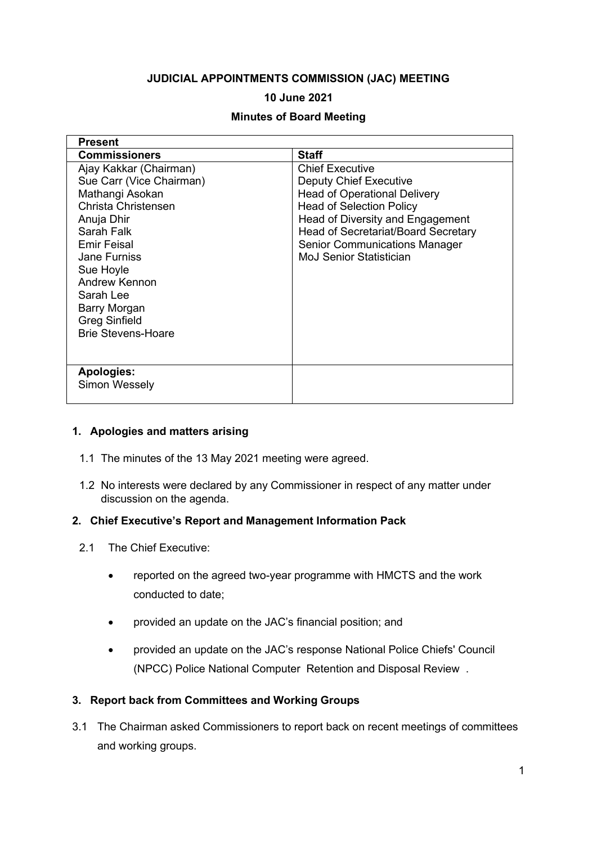### **JUDICIAL APPOINTMENTS COMMISSION (JAC) MEETING**

### **10 June 2021**

### **Minutes of Board Meeting**

| <b>Present</b>            |                                      |
|---------------------------|--------------------------------------|
| <b>Commissioners</b>      | <b>Staff</b>                         |
| Ajay Kakkar (Chairman)    | <b>Chief Executive</b>               |
| Sue Carr (Vice Chairman)  | <b>Deputy Chief Executive</b>        |
| Mathangi Asokan           | <b>Head of Operational Delivery</b>  |
| Christa Christensen       | <b>Head of Selection Policy</b>      |
| Anuja Dhir                | Head of Diversity and Engagement     |
| Sarah Falk                | Head of Secretariat/Board Secretary  |
| Emir Feisal               | <b>Senior Communications Manager</b> |
| <b>Jane Furniss</b>       | <b>MoJ Senior Statistician</b>       |
| Sue Hoyle                 |                                      |
| Andrew Kennon             |                                      |
| Sarah Lee                 |                                      |
| Barry Morgan              |                                      |
| <b>Greg Sinfield</b>      |                                      |
| <b>Brie Stevens-Hoare</b> |                                      |
|                           |                                      |
|                           |                                      |
| <b>Apologies:</b>         |                                      |
| Simon Wessely             |                                      |
|                           |                                      |

### **1. Apologies and matters arising**

- 1.1 The minutes of the 13 May 2021 meeting were agreed.
- 1.2 No interests were declared by any Commissioner in respect of any matter under discussion on the agenda.

### **2. Chief Executive's Report and Management Information Pack**

- 2.1 The Chief Executive:
	- reported on the agreed two-year programme with HMCTS and the work conducted to date;
	- provided an update on the JAC's financial position; and
	- provided an update on the JAC's response National Police Chiefs' Council (NPCC) Police National Computer Retention and Disposal Review .

# **3. Report back from Committees and Working Groups**

3.1 The Chairman asked Commissioners to report back on recent meetings of committees and working groups.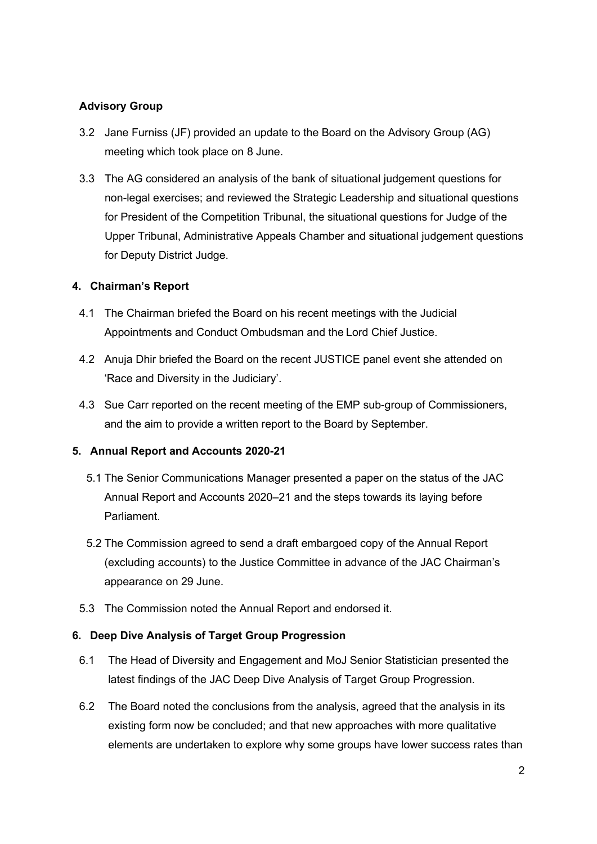# **Advisory Group**

- 3.2 Jane Furniss (JF) provided an update to the Board on the Advisory Group (AG) meeting which took place on 8 June.
- 3.3 The AG considered an analysis of the bank of situational judgement questions for non-legal exercises; and reviewed the Strategic Leadership and situational questions for President of the Competition Tribunal, the situational questions for Judge of the Upper Tribunal, Administrative Appeals Chamber and situational judgement questions for Deputy District Judge.

### **4. Chairman's Report**

- 4.1 The Chairman briefed the Board on his recent meetings with the Judicial Appointments and Conduct Ombudsman and the Lord Chief Justice.
- 4.2 Anuja Dhir briefed the Board on the recent JUSTICE panel event she attended on 'Race and Diversity in the Judiciary'.
- 4.3 Sue Carr reported on the recent meeting of the EMP sub-group of Commissioners, and the aim to provide a written report to the Board by September.

# **5. Annual Report and Accounts 2020-21**

- 5.1 The Senior Communications Manager presented a paper on the status of the JAC Annual Report and Accounts 2020–21 and the steps towards its laying before Parliament.
- 5.2 The Commission agreed to send a draft embargoed copy of the Annual Report (excluding accounts) to the Justice Committee in advance of the JAC Chairman's appearance on 29 June.
- 5.3 The Commission noted the Annual Report and endorsed it.

### **6. Deep Dive Analysis of Target Group Progression**

- 6.1 The Head of Diversity and Engagement and MoJ Senior Statistician presented the latest findings of the JAC Deep Dive Analysis of Target Group Progression.
- 6.2 The Board noted the conclusions from the analysis, agreed that the analysis in its existing form now be concluded; and that new approaches with more qualitative elements are undertaken to explore why some groups have lower success rates than